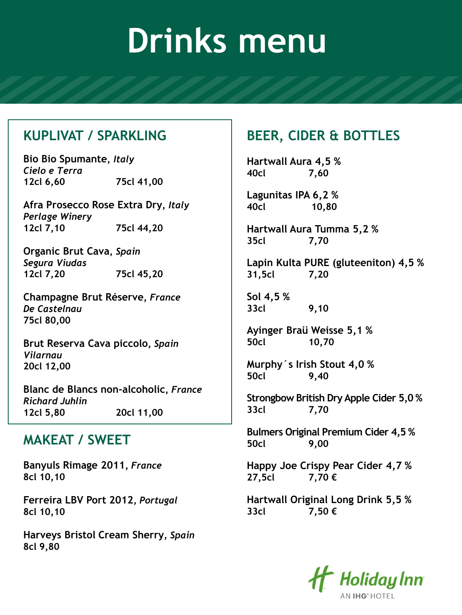#### **KUPLIVAT / SPARKLING**

**Bio Bio Spumante,** *Italy Cielo e Terra* **12cl 6,60 75cl 41,00**

**Afra Prosecco Rose Extra Dry,** *Italy Perlage Winery* **12cl 7,10 75cl 44,20**

**Organic Brut Cava,** *Spain Segura Viudas* **12cl 7,20 75cl 45,20**

**Champagne Brut Réserve,** *France De Castelnau* **75cl 80,00** 

**Brut Reserva Cava piccolo,** *Spain Vilarnau* **20cl 12,00**

**Blanc de Blancs non-alcoholic,** *France Richard Juhlin* **12cl 5,80 20cl 11,00**

### **MAKEAT / SWEET**

**Banyuls Rimage 2011,** *France* **8cl 10,10**

**Ferreira LBV Port 2012,** *Portugal* **8cl 10,10**

**Harveys Bristol Cream Sherry,** *Spain* **8cl 9,80**

### **BEER, CIDER & BOTTLES**

**Hartwall Aura 4,5 % 40cl 7,60**

**Lagunitas IPA 6,2 % 40cl 10,80**

**Hartwall Aura Tumma 5,2 % 35cl 7,70**

**Lapin Kulta PURE (gluteeniton) 4,5 % 31,5cl 7,20**

**Sol 4,5 % 33cl 9,10**

**Ayinger Braü Weisse 5,1 % 50cl 10,70** 

**Murphy´s Irish Stout 4,0 % 50cl 9,40**

**Strongbow British Dry Apple Cider 5,0 % 33cl 7,70**

**Bulmers Original Premium Cider 4,5 % 50cl 9,00**

**Happy Joe Crispy Pear Cider 4,7 % 27,5cl 7,70 €** 

**Hartwall Original Long Drink 5,5 % 33cl 7,50 €**

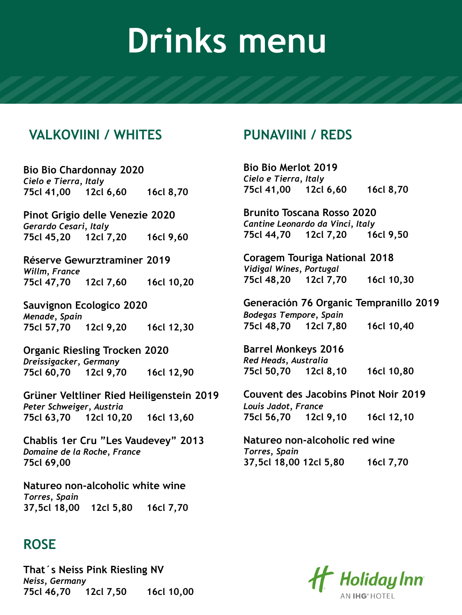#### **VALKOVIINI / WHITES**

**Bio Bio Chardonnay 2020** *Cielo e Tierra, Italy* **75cl 41,00 12cl 6,60 16cl 8,70**

**Pinot Grigio delle Venezie 2020** *Gerardo Cesari, Italy* **75cl 45,20 12cl 7,20 16cl 9,60**

**Réserve Gewurztraminer 2019** *Willm, France* **75cl 47,70 12cl 7,60 16cl 10,20**

**Sauvignon Ecologico 2020** *Menade, Spain* **75cl 57,70 12cl 9,20 16cl 12,30**

**Organic Riesling Trocken 2020** *Dreissigacker, Germany* **75cl 60,70 12cl 9,70 16cl 12,90**

**Grüner Veltliner Ried Heiligenstein 2019** *Peter Schweiger, Austria* **75cl 63,70 12cl 10,20 16cl 13,60**

**Chablis 1er Cru "Les Vaudevey" 2013** *Domaine de la Roche, France* **75cl 69,00**

**Natureo non-alcoholic white wine** *Torres, Spain* **37,5cl 18,00 12cl 5,80 16cl 7,70**

#### **ROSE**

**That´s Neiss Pink Riesling NV** *Neiss, Germany* **75cl 46,70 12cl 7,50 16cl 10,00**

### **PUNAVIINI / REDS**

**Bio Bio Merlot 2019** *Cielo e Tierra, Italy* **75cl 41,00 12cl 6,60 16cl 8,70**

**Brunito Toscana Rosso 2020** *Cantine Leonardo da Vinci, Italy* **75cl 44,70 12cl 7,20 16cl 9,50**

**Coragem Touriga National 2018** *Vidigal Wines, Portugal* **75cl 48,20 12cl 7,70 16cl 10,30**

**Generación 76 Organic Tempranillo 2019** *Bodegas Tempore, Spain* **75cl 48,70 12cl 7,80 16cl 10,40**

**Barrel Monkeys 2016** *Red Heads, Australia* **75cl 50,70 12cl 8,10 16cl 10,80**

**Couvent des Jacobins Pinot Noir 2019** *Louis Jadot, France* **75cl 56,70 12cl 9,10 16cl 12,10**

**Natureo non-alcoholic red wine** *Torres, Spain* **37,5cl 18,00 12cl 5,80 16cl 7,70**

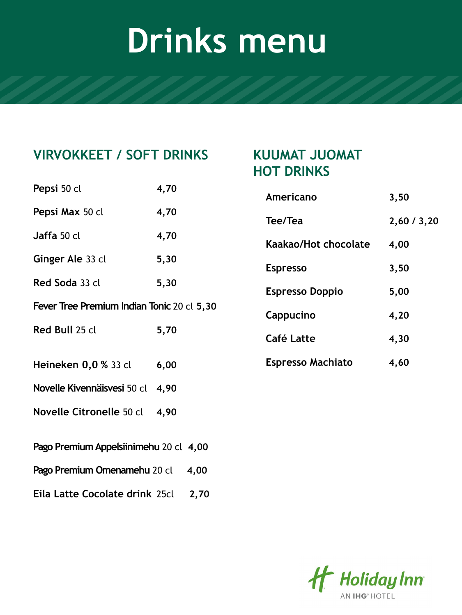### **VIRVOKKEET / SOFT DRINKS KUUMAT JUOMAT**

### **Pepsi** 50 cl **4,70 Pepsi Max** 50 cl **4,70 Jaffa** 50 cl **4,70 Ginger Ale** 33 cl **5,30 Red Soda** 33 cl **5,30 Fever Tree Premium Indian Tonic** 20 cl **5,30 Red Bull** 25 cl **5,70 Heineken 0,0 %** 33 cl **6,00 Novelle Kivennäisvesi** 50 cl **4,90 Novelle Citronelle** 50 cl **4,90 Pago Premium Appelsiinimehu** 20 cl **4,00 Pago Premium Omenamehu** 20 cl **4,00 Eila Latte Cocolate drink** 25cl **2,70**

### **HOT DRINKS**

| Americano                | 3,50      |
|--------------------------|-----------|
| Tee/Tea                  | 2,60/3,20 |
| Kaakao/Hot chocolate     | 4,00      |
| <b>Espresso</b>          | 3,50      |
| <b>Espresso Doppio</b>   | 5,00      |
| Cappucino                | 4,20      |
| Café Latte               | 4,30      |
| <b>Espresso Machiato</b> | 4,60      |